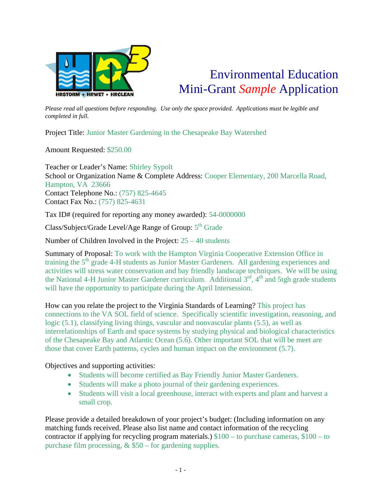

## Environmental Education Mini-Grant *Sample* Application

*Please read all questions before responding. Use only the space provided. Applications must be legible and completed in full.* 

Project Title: Junior Master Gardening in the Chesapeake Bay Watershed

Amount Requested: \$250.00

Teacher or Leader's Name: Shirley Sypolt School or Organization Name & Complete Address: Cooper Elementary, 200 Marcella Road, Hampton, VA 23666 Contact Telephone No.: (757) 825-4645 Contact Fax No.: (757) 825-4631

Tax ID# (required for reporting any money awarded): 54-0000000

Class/Subject/Grade Level/Age Range of Group:  $5<sup>th</sup>$  Grade

Number of Children Involved in the Project: 25 – 40 students

Summary of Proposal: To work with the Hampton Virginia Cooperative Extension Office in training the  $5<sup>th</sup>$  grade 4-H students as Junior Master Gardeners. All gardening experiences and activities will stress water conservation and bay friendly landscape techniques. We will be using the National 4-H Junior Master Gardener curriculum. Additional  $3<sup>rd</sup>$ ,  $4<sup>th</sup>$  and 5tgh grade students will have the opportunity to participate during the April Intersession.

How can you relate the project to the Virginia Standards of Learning? This project has connections to the VA SOL field of science. Specifically scientific investigation, reasoning, and logic (5.1), classifying living things, vascular and nonvascular plants (5.5), as well as interrelationships of Earth and space systems by studying physical and biological characteristics of the Chesapeake Bay and Atlantic Ocean (5.6). Other important SOL that will be meet are those that cover Earth patterns, cycles and human impact on the environment (5.7).

## Objectives and supporting activities:

- Students will become certified as Bay Friendly Junior Master Gardeners.
- Students will make a photo journal of their gardening experiences.
- Students will visit a local greenhouse, interact with experts and plant and harvest a small crop.

Please provide a detailed breakdown of your project's budget: (Including information on any matching funds received. Please also list name and contact information of the recycling contractor if applying for recycling program materials.) \$100 – to purchase cameras, \$100 – to purchase film processing,  $&$  \$50 – for gardening supplies.